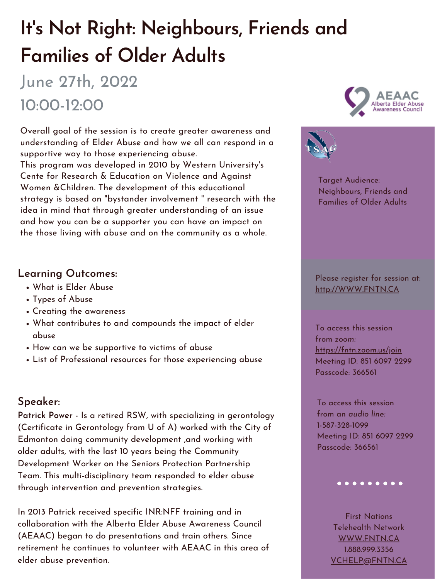# **It' s Not Right: Neighbours, Friends and Families of Older Adults**

## June 27th, 2022 10:00-12:00

Overall goal of the session is to create greater awareness and understanding of Elder Abuse and how we all can respond in a supportive way to those experiencing abuse.

This program was developed in 2010 by Western University ' s Cente for Research & Education on Violence and Against Women &Children. The development of this educational strategy is based on "bystander involvement " research with the idea in mind that through greater understanding of an issue and how you can be a supporter you can have an impact on the those living with abuse and on the community as a whole.

- What is Elder Abuse
- Types of Abuse





- 
- Creating the awareness
- What contributes to and compounds the impact of elder abuse
- How can we be supportive to victims of abuse
- List of Professional resources for those experiencing abuse

### **Learning Outcomes:**

#### **Speaker:**

**Patrick Power -** Is a retired RSW, with specializing in gerontology (Certificate in Gerontology from U of A) worked with the City of Edmonton doing community development ,and working with older adults, with the last 10 years being the Community Development Worker on the Seniors Protection Partnership Team. This multi-disciplinary team responded to elder abuse through intervention and prevention strategies.

In 2013 Patrick received specific INR:NFF training and in collaboration with the Alberta Elder Abuse Awareness Council (AEAAC) began to do presentations and train others. Since retirement he continues to volunteer with AEAAC in this area of elder abuse prevention.

Target Audience: Neighbours, Friends and Families of Older Adults

Please register for session at: [http://WWW.FNTN.CA](https://fntn.ca/Home/Register-VC?eid=19163)

To access this session from *zoom:* [https://fntn.zoom.us/join](https://fntn.zoom.us/s/85160972299) Meeting ID: 851 6097 2299 Passcode: 366561

To access this session from an *audio line:* 1-587-328-1099 Meeting ID: 851 6097 2299 Passcode: 366561

#### $0 0 0 0 0 0 0 0 0 0$

First Nations Telehealth Network [WWW.FNTN.CA](https://fntn.ca/) 1.888.999.3356 VCHELP@FNTN.CA